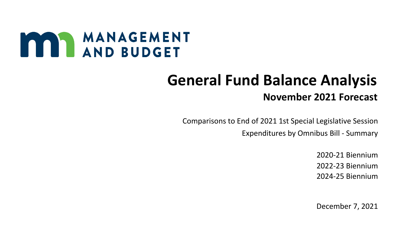## MANAGEMENT

## **General Fund Balance Analysis November 2021 Forecast**

 Comparisons to End of 2021 1st Special Legislative Session Expenditures by Omnibus Bill - Summary

> 2020-21 Biennium 2022-23 Biennium 2024-25 Biennium

> December 7, 2021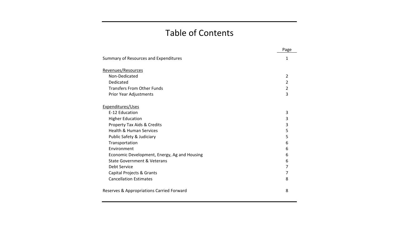## Table of Contents

|                                              | Page |
|----------------------------------------------|------|
| Summary of Resources and Expenditures        | 1    |
| Revenues/Resources                           |      |
| Non-Dedicated                                | 2    |
| Dedicated                                    | 2    |
| <b>Transfers From Other Funds</b>            | 2    |
| Prior Year Adjustments                       | 3    |
| Expenditures/Uses                            |      |
| E-12 Education                               | 3    |
| <b>Higher Education</b>                      | 3    |
| Property Tax Aids & Credits                  | 3    |
| <b>Health &amp; Human Services</b>           | 5    |
| Public Safety & Judiciary                    | 5    |
| Transportation                               | 6    |
| Environment                                  | 6    |
| Economic Development, Energy, Ag and Housing | 6    |
| <b>State Government &amp; Veterans</b>       | 6    |
| Debt Service                                 | 7    |
| Capital Projects & Grants                    | 7    |
| <b>Cancellation Estimates</b>                | 8    |
| Reserves & Appropriations Carried Forward    | 8    |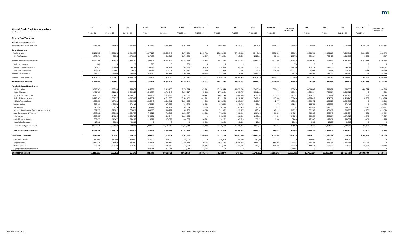| <b>General Fund - Fund Balance Analysis</b>  | <b>SS1</b> | SS <sub>1</sub> | <b>SS1</b> | Actual     | Actual                  | Actual     | <b>Actual vs SS1</b> | Nov        | Nov        | Nov        | Nov vs SS1 | FY 2022-23 vs<br>FY 2020-21 | Nov            | Nov        | Nov        | Nov vs SS1 | FY 2024-25 vs<br>FY 2022-23 |
|----------------------------------------------|------------|-----------------|------------|------------|-------------------------|------------|----------------------|------------|------------|------------|------------|-----------------------------|----------------|------------|------------|------------|-----------------------------|
| (\$ in Thousands)                            | FY 2020-21 | FY 2022-23      | FY 2024-25 | FY 2020    | FY 2021                 | FY 2020-21 | FY 2020-21           | FY 2022    | FY 2023    | FY 2022-23 | FY 2022-23 |                             | FY 2024        | FY 2025    | FY 2024-25 | FY 2024-25 |                             |
| <b>General Fund Summary</b>                  |            |                 |            |            |                         |            |                      |            |            |            |            |                             |                |            |            |            |                             |
| <b>Actual &amp; Estimated Resources</b>      |            |                 |            |            |                         |            |                      |            |            |            |            |                             |                |            |            |            |                             |
| Balance Forward From Prior Year              | 3,971,359  | 3,919,644       | 2,463,94   | 3,971,359  | 3,343,865               | 3,971,359  |                      | 7,025,957  | 8,733,114  | 7,025,95   | 3,106,313  | 3,054,598                   | 11,063,685     | 14,203,115 | 11,063,685 | 8,599,744  | 4,037,728                   |
| <b>Current Resources:</b>                    |            |                 |            |            |                         |            |                      |            |            |            |            |                             |                |            |            |            |                             |
| Tax Revenues                                 | 45,121,923 | 48,363,812      | 52,403,97  | 22,077,216 | 25,660,445              | 47,737,661 | 2,615,738            | 25,826,946 | 27,613,386 | 53,440,33  | 5,076,520  | 5,702,67                    | 28,500,796     | 29,325,015 | 57,825,811 | 5,421,838  | 4,385,479                   |
| Non-Tax Revenues                             | 1,670,37   | 1,478,502       | 1,470,21   | 817,106    | 921,862                 | 1,738,968  | 68,597               | 761,541    | 767,645    | 1,529,18   | 50,684     | $-209,782$                  | 769,564        | 766,429    | 1,535,993  | 65,775     | 6,807                       |
| Subtotal Non-Dedicated Revenues              | 46,792,294 | 49,842,314      | 53,874,191 | 22,894,322 | 26,582,307              | 49,476,629 | 2,684,335            | 26,588,487 | 28,381,031 | 54,969,51  | 5,127,204  | 5,492,889                   | 29,270,360     | 30,091,444 | 59,361,804 | 5,487,613  | 4,392,286                   |
| Dedicated Revenue                            | 800l       |                 |            | 795        |                         | 800        |                      |            |            |            |            | -790                        |                |            |            |            |                             |
| Transfers From Other Funds                   | 673,021    | 931,644         | 849,58     | 155,643    | 532,294                 | 687,937    | 14,916               | 176,896    | 782,285    | 959,18     | 27,537     | 271,244                     | 700,334        | 149,250    | 849,584    |            | $-109,597$                  |
| <b>Prior Year Adjustments</b>                | 238,016    | 133,445         | 74,81      | 99,722     | 214,054                 | 313,776    | 75,760               | 71,378     | 37,103     | 108,48     | $-24,964$  | $-205,295$                  | 37,064         | 37,024     | 74,088     |            | $-34,393$                   |
| Subtotal Other Revenue                       | 911,83     | 1,065,099       | 924,406    | 256,160    | 746,353                 | 1,002,513  | 90,676               | 248,279    | 819,393    | 1,067,672  | 2,573      | 65,159                      | 737,403        | 186,279    | 923,682    | $-724$     | $-143,990$                  |
| <b>Subtotal Current Resources</b>            | 47,704,13  | 50,907,413      | 54,798,59  | 23,150,482 | 27,328,660              | 50,479,142 | 2,775,011            | 26,836,766 | 29,200,424 | 56,037,190 | 5,129,777  | 5,558,048                   | 30,007,763     | 30,277,723 | 60,285,486 | 5,486,889  | 4,248,296                   |
| <b>Total Resources Available</b>             | 51,675,490 | 54,827,057      | 57,262,538 | 27,121,841 | 30,672,525              | 54,450,501 | 2,775,011            | 33,862,723 | 37,933,538 | 63,063,147 | 8,236,090  | 8,612,646                   | 41,071,448     | 44,480,838 | 71,349,171 | 14,086,633 | 8,286,024                   |
| <b>Actual &amp; Estimated Expenditures</b>   |            |                 |            |            |                         |            |                      |            |            |            |            |                             |                |            |            |            |                             |
| E-12 Education                               | 19,838,705 | 20,986,960      | 21,756,67  | 9,835,739  | 9,919,135               | 19,754,874 | $-83,831$            | 10,180,844 | 10,479,704 | 20,660,548 | $-326,412$ | 905,674                     | 10,614,662     | 10,679,691 | 21,294,353 | $-462,324$ | 633,805                     |
| <b>Higher Education</b>                      | 3,401,789  | 3,511,868       | 3,505,82   | 1,693,377  | 1,714,340               | 3,407,717  | 5,928                | 1,756,101  | 1,755,767  | 3,511,868  |            | 104,151                     | 1,752,914      | 1,752,914  | 3,505,828  |            | $-6,040$                    |
| Property Tax Aids & Credits                  | 3,973,123  | 4,204,411       | 4,358,53   | 1,866,803  | 2,025,878               | 3,892,681  | $-80,442$            | 2,079,740  | 2,088,846  | 4,168,58   | $-35,825$  | 275,905                     | 2,166,213      | 2,201,012  | 4,367,225  | 8,689      | 198,639                     |
| Health & Human Services                      | 13,748,103 | 16,503,55       | 18,357,88  | 7,035,367  | 6,611,035               | 13,646,402 | $-101,701$           | 7,211,285  | 9,198,567  | 16,409,85  | $-93,705$  | 2,763,450                   | 8,956,412      | 9,464,334  | 18,420,746 | 62,859     | 2,010,894                   |
| Public Safety & Judiciary                    | 2,565,259  | 2,637,936       | 2,649,39   | 1,236,945  | 1,313,711               | 2,550,656  | $-14,603$            | 1,353,464  | 1,327,247  | 2,680,71   | 42,775     | 130,055                     | 1,324,472      | 1,324,920  | 2,649,392  |            | $-31,319$                   |
| Transportation                               | 358,409    | 476,352         | 271,460    | 174,820    | 170,750                 | 345,570    | $-12,839$            | 327,502    | 149,722    | 477,22     | 872        | 131,654                     | 135,730        | 135,730    | 271,460    |            | $-205,764$                  |
| Environment                                  | 343,016    | 369,754         | 347,48     | 166,422    | 182,212                 | 348,634    | 5,618                | 200,110    | 185,473    | 385,58     | 15,829     | 36,949                      | 177,896        | 177,730    | 355,626    | 8,145      | $-29,957$                   |
| Economic Development, Energy, Ag and Housing | 632,752    | 775,812         | 609,82     | 303,980    | 300,722                 | 604,702    | $-28,050$            | 523,452    | 299,577    | 823,02     | 47,217     | 218,327                     | 302,307        | 302,669    | 604,976    | $-4,850$   | $-218,053$                  |
| <b>State Government &amp; Veterans</b>       | 1,545,208  | 1,333,128       | 1,260,755  | 794,715    | 718,612                 | 1,513,327  | $-31,881$            | 733,533    | 630,920    | 1,364,45   | 31,325     | $-148,874$                  | 634,005        | 625,949    | 1,259,954  |            | $-104,499$                  |
| Debt Service                                 | 1,055,625  | 1,242,865       | 1,258,780  | 540,081    | 515,544                 | 1,055,625  |                      | 592,426    | 606,410    | 1,198,836  | $-44,029$  | 143,211                     | 635,859        | 636,864    | 1,272,723  | 13,943     | 73,887                      |
| Capital Projects & Grants                    | 308,85     | 340,473         | 350,988    | 129,727    | 174,629                 | 304,356    | $-4,501$             | 176,152    | 162,620    | 338,77     | $-1,701$   | 34,416                      | 172,863        | 177,664    | 350,527    |            | 11,75                       |
| <b>Cancellation Estimates</b>                | $-15,000$  | $-20,000$       | $-20,000$  |            | $\overline{\mathbf{0}}$ |            | 15,000               | $-5,000$   | $-15,000$  | $-20,000$  |            | $-20,000$                   | $-5,000$       | $-15,000$  | $-20,000$  |            |                             |
| Subtotal by Appropriation Bill               | 47,755,846 | 52,363,116      | 54,707,61  | 23,777,976 | 23,646,568              | 47,424,544 | $-331,302$           | 25,129,609 | 26,869,853 | 51,999,462 | $-363,654$ | 4,574,918                   | 26,868,333     | 27,464,477 | 54,332,810 | $-374,800$ | 2,333,348                   |
| <b>Total Expenditures &amp; Transfers</b>    | 47,755,846 | 52,363,116      | 54,707,610 | 23,777,976 | 23,646,568              | 47,424,544 | $-331,302$           | 25,129,609 | 26,869,853 | 51,999,462 | $-363,654$ | 4,574,918                   | 26,868,333     | 27,464,477 | 54,332,810 | $-374,800$ | 2,333,348                   |
| <b>Balance Before Reserves</b>               | 3,919,644  | 2,463,941       | 2,554,928  | 3,343,865  | 7,025,957               | 7,025,957  | 3,106,313            | 8,733,114  | 11,063,685 | 11,063,685 | 8,599,744  | 4,037,728                   | 14,203,115     | 17,016,361 | 17,016,361 | 14,461,433 | 5,952,676                   |
| <b>Cash Flow Account</b>                     | 350,000    | 350,000         | 350,000    | 350,000    | 350,000                 | 350,000    |                      | 350,000    | 350,000    | 350,000    |            |                             | 350,000        | 350,000    | 350,000    |            |                             |
| <b>Budget Reserve</b>                        | 2,377,319  | 1,785,950       | 1,785,950  | 2,358,698  | 2,406,352               | 2,406,352  | 29,033               | 2,655,745  | 2,655,745  | 2,655,745  | 869,795    | 249,393                     | 2,655,745      | 2,655,745  | 2,655,745  | 869,795    |                             |
| Stadium Reserve                              | 80,738     | 200,700         | 359,40     | 55,700     | 106,709                 | 106,709    | 25,971               | 204,679    | 312,108    | 312,108    | 111,408    | 205,399                     | 427,746        | 550,332    | 550,332    | 190,929    | 238,224                     |
| <b>Appropriations Carried Forward</b>        |            |                 |            | 246,058    | 111,033                 | 111,033    | 111,033              | റ          | $\Omega$   |            |            | $-111,033$                  | $\overline{0}$ |            |            |            |                             |
| <b>Budgetary Balance</b>                     | 1,111,587  | 127,291         | 59,575     | 333,409    | 4,051,863               | 4,051,863  | 2,940,276            | 5,522,690  | 7,745,832  | 7,745,832  | 7,618,541  | 3,693,969                   | 10,769,624     | 13,460,284 | 13,460,284 | 13,400,709 | 5,714,452                   |

| 4,385,479     |
|---------------|
| 6,807         |
| 4,392,286     |
|               |
| 0<br>-109,597 |
| $-34,393$     |
| $-143,990$    |
| 4,248,296     |
|               |
| 8,286,024     |
|               |
| 633,805       |
| $-6,040$      |
| 198,639       |
| 2,010,894     |
| $-31,319$     |
| $-205,764$    |
| $-29,957$     |
| $-218,053$    |
| -104,499      |
| 73,887        |
| 11,755        |
| 0             |
| 2,333,348     |
| 2,333,348     |
| 5,952,676     |
| 0             |
| 0             |
| 238,224       |
| 0             |
| 5,714,452     |

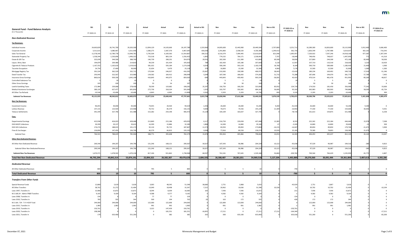| <b>General Fund - Fund Balance Analysis</b><br>(\$ in Thousands) | <b>SS1</b> | <b>SS1</b>      | <b>SS1</b>     | Actual       | Actual        | Actual         | Actual vs SS1 | Nov           | Nov           | Nov             | Nov vs SS1 | FY 2022-23 vs<br>FY 2020-21 | Nov           | Nov           | Nov             | Nov vs SS1 | FY 2024-25 vs<br>FY 2022-23 |
|------------------------------------------------------------------|------------|-----------------|----------------|--------------|---------------|----------------|---------------|---------------|---------------|-----------------|------------|-----------------------------|---------------|---------------|-----------------|------------|-----------------------------|
|                                                                  | FY 2020-21 | FY 2022-23      | FY 2024-25     | FY 2020      | FY 2021       | FY 2020-21     | FY 2020-21    | FY 2022       | FY 2023       | FY 2022-23      | FY 2022-23 |                             | FY 2024       | FY 2025       | FY 2024-25      | FY 2024-25 |                             |
| <b>Non-Dedicated Revenue</b>                                     |            |                 |                |              |               |                |               |               |               |                 |            |                             |               |               |                 |            |                             |
| <b>Tax Revenues:</b>                                             |            |                 |                |              |               |                |               |               |               |                 |            |                             |               |               |                 |            |                             |
| Individual Income                                                | 24,663,829 | 26,741,700      | 29,203,500     | 12,094,129   | 14,103,660    | 26,197,789     | 1,533,960     | 14,005,600    | 15,443,900    | 29,449,500      | 2,707,800  | 3,251,711                   | 16,289,300    | 16,826,600    | 33,115,900      | 3,912,400  | 3,666,400                   |
| Corporate Income                                                 | 3,311,61   | 3,080,967       | 3,311,936      | 1,580,275    | 2,387,370     | 3,967,645      | 656,030       | 2,291,860     | 2,038,520     | 4,330,380       | 1,249,413  | 362,735                     | 1,826,549     | 1,787,488     | 3,614,037       | 302,101    | $-716,343$                  |
| Sales Tax-General                                                | 11,578,345 | 12,789,778      | 13,940,781     | 5,745,504    | 6,169,363     | 11,914,867     | 336,522       | 6,516,379     | 7,094,445     | 13,610,824      | 821,046    | 1,695,957                   | 7,320,922     | 7,597,246     | 14,918,168      | 977,387    | 1,307,344                   |
| <b>Statewide Property Tax</b>                                    | 1,558,344  | 1,530,696       | 1,496,322      | 753,318      | 803,134       | 1,556,452      | $-1,892$      | 774,232       | 764,171       | 1,538,403       | 7,707      | $-18,049$                   | 748,456       | 748,637       | 1,497,093       | 771        | $-41,310$                   |
| Estate & Gift Tax                                                | 325,039    | 344,500         | 388,700        | 146,739      | 208,231       | 354,970        | 29,931        | 202,500       | 211,300       | 413,800         | 69,300     | 58,830                      | 227,800       | 244,300       | 472,100         | 83,400     | 58,300                      |
| Liquor, Wine, Beer                                               | 194,879    | 204,480         | 214,810        | 94,239       | 101,424       | 195,663        | 784           | 102,420       | 105,180       | 207,600         | 3,120      | 11,937                      | 107,710       | 110,310       | 218,020         | 3,210      | 10,420                      |
| Cigarette & Tobacco Products                                     | 1,167,552  | 1,163,610       | 1,159,010      | 581,022      | 593,184       | 1,174,206      | 6,654         | 590,240       | 592,130       | 1,182,370       | 18,760     | 8,164                       | 590,730       | 589,680       | 1,180,410       | 21,400     | $-1,960$                    |
| <b>Taconite Occupation</b>                                       | 24,754     | 27,400          | 30,000         | 15,654       | 9,470         | 25,124         | 370           | 16,800        | 15,500        | 32,300          | 4,900      | 7,176                       | 15,500        | 15,500        | 31,000          | 1,000      | $-1,300$                    |
| Mortgage Registry Tax                                            | 391,324    | 362,529         | 332,712        | 170,364      | 246,027       | 416,391        | 25,067        | 210,383       | 190,589       | 400,972         | 38,443     | $-15,419$                   | 180,234       | 169,492       | 349,726         | 17,014     | $-51,246$                   |
| Deed Transfer Tax                                                | 293,945    | 322,567         | 323,986        | 134,582      | 164,412       | 298,994        | 5,049         | 187,590       | 186,692       | 374,282         | 51,715     | 75,288                      | 187,696       | 194,079       | 381,775         | 57,789     | 7,493                       |
| <b>Insurance Gross Earnings</b>                                  | 860,61     | 939,336         | 1,042,198      | 416,845      | 443,075       | 859,920        | $-696$        | 443,843       | 459,492       | 903,335         | $-36,001$  | 43,415                      | 470,514       | 481,478       | 951,992         | $-90,206$  | 48,657                      |
| Controlled Substance Tax                                         |            | 10 <sup>c</sup> |                | - 0          |               |                |               |               |               |                 |            |                             |               |               |                 |            | $\mathbf 0$                 |
| <b>Other Gross Earnings</b><br>Lawful Gambling Taxes             | 172,984    | 239,068         | 100<br>278,458 | 53<br>78,599 | 54<br>119,682 | 107<br>198,281 | 25,297        | 50<br>156,750 | 50<br>166,250 | 100<br>323,000  | 83,932     | 124,719                     | 50<br>174,550 | 50<br>181,450 | 100<br>356,000  | 77,542     | 33,000                      |
| <b>Medical Assistance Surcharges</b>                             | 589,135    | 627,477         | 691,856        | 272,736      | 318,324       | 591,060        | 1,925         | 333,797       | 350,365       | 684,162         | 56,685     | 93,102                      | 365,983       | 383,903       | 749,886         | 58,030     | 65,724                      |
| All Other Tax Refunds                                            | $-10,546$  | $-10,406$       | $-10,406$      | $-6,843$     | $-6,965$      | $-13,808$      | $-3,262$      | $-5,503$      | $-5,203$      | $-10,706$       | $-300$     | 3,102                       | $-5,203$      | $-5,203$      | $-10,406$       |            | 300                         |
| <b>Subtotal Tax Revenues</b>                                     | 45,121,923 | 48,363,812      | 52,403,973     | 22,077,216   | 25,660,445    | 47,737,661     | 2,615,738     | 25,826,946    | 27,613,386    | 53,440,332      | 5,076,520  | 5,702,671                   | 28,500,796    | 29,325,015    | 57,825,811      | 5,421,838  | 4,385,479                   |
| <b>Non-Tax Revenues:</b>                                         |            |                 |                |              |               |                |               |               |               |                 |            |                             |               |               |                 |            |                             |
|                                                                  |            |                 |                |              |               |                |               |               |               |                 |            |                             |               |               |                 |            |                             |
| Investment Income                                                | 96,055     | 44,000          | 44,000         | 74,055       | 20,564        | 94,619         | $-1,436$      | 26,600        | 26,600        | 53,200          | 9,200      | $-41,419$                   | 26,600        | 26,600        | 53,200          | 9,200      | $\mathbf{0}$                |
| Lottery Revenue                                                  | 147,13     | 123,920         | 123,968        | 70,752       | 85,379        | 156,131        | 9,000         | 70,673        | 74,556        | 145,229         | 21,309     | $-10,902$                   | 77,330        | 77,330        | 154,660         | 30,692     | 9,431                       |
| <b>Tobacco Settlements</b>                                       | 391,344    | 327,746         | 321,488        | 152,282      | 254,190       | 406,472        | 15,128        | 164,109       | 163,637       | 327,746         |            | $-78,726$                   | 161,613       | 159,875       | 321,488         |            | $-6,258$                    |
| Fees:                                                            |            |                 |                |              |               |                |               |               |               |                 |            |                             |               |               |                 |            |                             |
| <b>Departmental Earnings</b>                                     | 422,938    | 424,023         | 428,468        | 213,869      | 215,186       | 429,055        | 6,117         | 216,750       | 220,658       | 437,408         | 13,385     | 8,353                       | 222,262       | 222,184       | 444,446         | 15,978     | 7,038                       |
| <b>DHS MSOP Collections</b>                                      | 30,399     | 29,13           | 29,622         | 16,399       | 15,886        | 32,285         | 1,886         | 14,300        | 14,800        | 29,100          |            | $-3,185$                    | 14,800        | 14,800        | 29,600          |            | 500                         |
| DHS SOS Collections                                              | 176,274    | 188,015         | 191,172        | 92,124       | 95,723        | 187,847        | 11,573        | 83,950        | 89,850        | 173,800         | $-14,215$  | $-14,047$                   | 89,850        | 89,850        | 179,700         | $-11,472$  | 5,900                       |
| Fines & Surcharges                                               | 136,890    | 147,454         | 136,704        | 66,379       | 66,813        | 133,192        | $-3,698$      | 77,816        | 80,558        | 158,374         | 10,920     | 25,182                      | 79,580        | 78,803        | 158,383         | 21,679     |                             |
| <b>Subtotal Fees</b>                                             | 766,501    | 788,629         | 785,966        | 388,771      | 393,608       | 782,379        | 15,878        | 392,816       | 405,866       | 798,682         | 10,053     | 16,303                      | 406,492       | 405,637       | 812,129         | 26,163     | 13,447                      |
| <b>Other Non-Dedicated Revenue:</b>                              |            |                 |                |              |               |                |               |               |               |                 |            |                             |               |               |                 |            |                             |
| All Other Non-Dedicated Revenue                                  | 269,340    | 194,207         | 194,796        | 131,246      | 168,121       | 299,367        | 30,027        | 107,343       | 96,986        | 204,329         | 10,122     | $-95,038$                   | 97,529        | 96,987        | 194,516         | $-280$     | $-9,813$                    |
| Subtotal Other Non-Dedicated Revenue                             | 269,340    | 194,207         | 194,796        | 131,246      | 168,121       | 299,367        | 30,027        | 107,343       | 96,986        | 204,329         | 10,122     | $-95,038$                   | 97,529        | 96,987        | 194,516         | $-280$     | $-9,813$                    |
| <b>Subtotal Non-Tax Revenues</b>                                 | 1,670,37   | 1,478,502       | 1,470,218      | 817,106      | 921,862       | 1,738,968      | 68,597        | 761,541       | 767,645       | 1,529,186       | 50,684     | $-209,782$                  | 769,564       | 766,429       | 1,535,993       | 65,775     | 6,807                       |
| <b>Total Net Non-Dedicated Revenue</b>                           | 46,792,294 | 49,842,314      | 53,874,191     | 22,894,322   | 26,582,307    | 49,476,629     | 2,684,335     | 26,588,487    | 28,381,031    | 54,969,518      | 5,127,204  | 5,492,889                   | 29,270,360    | 30,091,444    | 59,361,804      | 5,487,613  | 4,392,286                   |
| <b>Dedicated Revenue</b>                                         |            |                 |                |              |               |                |               |               |               |                 |            |                             |               |               |                 |            |                             |
| All Other Dedicated Revenues                                     | 800        |                 |                | 795          |               | -800           |               |               |               |                 |            | -790                        |               |               |                 |            |                             |
| <b>Total Dedicated Revenue</b>                                   | 800        | 10 <sup>1</sup> | 10             | 795          |               | 800            |               |               |               | 10 <sup>1</sup> |            | $-790$                      | 5             |               | 10 <sup>1</sup> |            |                             |
| <b>Transfers From Other Funds</b>                                |            |                 |                |              |               |                |               |               |               |                 |            |                             |               |               |                 |            |                             |
| Special Revenue Funds                                            | 12,868     | 5,619           | 5,618          | 3,003        | 48,545        | 51,548         | 38,680        | 2,751         | 2,868         | 5,619           |            | $-45,929$                   | 2,751         | 2,867         | 5,618           |            |                             |
| All Other Transfers                                              | 38,76      | 21,272          | 21,404         | 13,049       | 18,498        | 31,547         | $-7,215$      | 20,962        | 10,636        | 31,598          | 10,326     |                             | 10,702        | 10,702        | 21,404          |            | $-10,194$                   |
| Laws 1997, Transfers In                                          | 15,980     | 15,872          | 15,872         | 8,044        | 8,039         | 16,083         | 103           | 7,936         | 7,936         | 15,872          |            |                             | 7,936         | 7,936         | 15,872          |            |                             |
| M.S 16B.24 - Admin FR&R Transfers                                | 9,16       | 9,16            | 9,164          | 4,588        | 4,577         | 9,165          |               | 4,582         | 4,582         | 9,164           |            |                             | 4,582         | 4,582         | 9,164           |            |                             |
| Laws 2008, Transfers In                                          |            |                 |                | 77           | 77            | 154            |               |               |               |                 |            |                             |               |               |                 |            |                             |
| Laws 2010, Transfers In                                          |            | -33'            | 344            | 569          | 194           | 763            |               | 163           | 172           |                 |            |                             | 172           | 172           |                 |            |                             |
| M.S 16A. 724 - Tr fr HCAF Fund                                   | 244,000    | 244,000         | 244,000        | 122,000      | 122,000       | 244,000        |               | 122,000       | 122,000       | 244,000         |            |                             | 122,000       | 122,000       | 244,000         |            |                             |
| Laws 2015, Transfers In                                          | 1,983      | 1,982           | 1,982          | 991          | 992           | 1,983          |               | 991           | 991           | 1,982           |            |                             | 991           | 991           | 1.982           |            |                             |
| Laws 2019, Transfers In                                          | 150,761    |                 |                | 3,322        | 147,439       | 150,761        |               |               |               |                 |            | $-150,761$                  |               |               |                 |            |                             |
| Laws 2020, Transfers In                                          | 198,386    |                 |                |              | 181,551       | 181,551        | $-16,835$     | 17,211        |               | 17,211          | 17,211     | $-164,340$                  |               |               |                 |            | $-17,211$                   |
| Laws 2021, Transfer In                                           | 179        | 633,400         | 551,200        | - റ          | 382           | 382            | 203           | 300           | 633,100       | 633,400         |            | 633,018                     | 551,200       |               | 551,200         |            | $-82,200$                   |

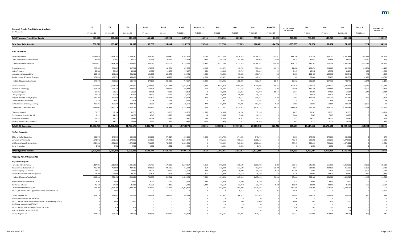| FY 2024-25 vs |  |  |                   |  |
|---------------|--|--|-------------------|--|
|               |  |  | <b>FY 2022-23</b> |  |

| FY 2022-23 |
|------------|
| $-109,597$ |
|            |
| $-34,393$  |
|            |
|            |
|            |
| 205,506    |
| 2,716      |
| 208,222    |
| 24,137     |
| 2,692      |
| 1,949      |
| $-16,632$  |
| 12,146     |
|            |
| 411,822    |
| $-8,114$   |
| 12,284     |
| 0          |
| 2,304      |
| $-79$      |
| -10        |
| 418,207    |
| $-5,213$   |
| 39         |
| 273        |
| 131        |
| 633.805    |
|            |

| -579     |
|----------|
| $-2,800$ |
| $-2,661$ |
| 0        |
|          |

| 105,500    |
|------------|
| 13,700     |
| 1,670      |
| 2,180      |
| 123,050    |
|            |
| 0          |
| $-2,600$   |
| 0          |
| $-5,516$   |
| 345        |
| 0          |
| 0          |
| 0          |
| 0          |
| 0          |
| <b>245</b> |

| <b>General Fund - Fund Balance Analysis</b>                                                          | <b>SS1</b> | <b>SS1</b> | <b>SS1</b> | Actual    | Actual    | Actual     | <b>Actual vs SS1</b> | Nov        | Nov        | Nov        | Nov vs SS1 | FY 2022-23 vs<br>FY 2020-21 | Nov        | Nov        | Nov        | Nov vs SS1 | FY 2024-25 vs<br>FY 2022-23 |
|------------------------------------------------------------------------------------------------------|------------|------------|------------|-----------|-----------|------------|----------------------|------------|------------|------------|------------|-----------------------------|------------|------------|------------|------------|-----------------------------|
| (\$ in Thousands)                                                                                    | FY 2020-21 | FY 2022-23 | FY 2024-25 | FY 2020   | FY 2021   | FY 2020-21 | FY 2020-21           | FY 2022    | FY 2023    | FY 2022-23 | FY 2022-23 |                             | FY 2024    | FY 2025    | FY 2024-25 | FY 2024-25 |                             |
| <b>Total Transfers From Other Funds</b>                                                              | 673,021    | 931,644    | 849,584    | 155,643   | 532,294   | 687,937    | 14,916               | 176,896    | 782,285    | 959,181    | 27,537     | 271,244                     | 700,334    | 149,250    | 849,584    |            | $-109,597$                  |
|                                                                                                      | 238,016    | 133,445    | 74,812     | 99,722    | 214,054   | 313,776    | 75,760               | 71,378     | 37,103     | 108,481    | $-24,964$  | $-205,295$                  | 37,064     | 37,024     | 74,088     | $-724$     | $-34,393$                   |
| <b>Prior Year Adjustments</b>                                                                        |            |            |            |           |           |            |                      |            |            |            |            |                             |            |            |            |            |                             |
| <b>E-12 Education</b>                                                                                |            |            |            |           |           |            |                      |            |            |            |            |                             |            |            |            |            |                             |
| <b>General Education</b>                                                                             | 14,746,638 | 15,373,793 | 15,629,180 | 7,338,212 | 7,329,380 | 14,667,592 | $-79,04$             | 7,477,564  | 7,678,778  | 15,156,342 | $-217,451$ | 488,750                     | 7,702,136  | 7,659,712  | 15,361,848 | $-267,332$ | 205,506                     |
| <b>Other General Education Programs</b>                                                              | 85,999     | 90,467     | 95,515     | 41,968    | 43,626    | 85,594     | $-40$                | 44,179     | 43,840     | 88,01      | $-2,448$   | 2,425                       | 45,051     | 45,684     | 90,735     | $-4,780$   | 2,716                       |
| <b>Subtotal General Education</b>                                                                    | 14,832,637 | 15,464,260 | 15,724,695 | 7,380,180 | 7,373,006 | 14,753,186 | $-79,451$            | 7,521,743  | 7,722,618  | 15,244,361 | $-219,899$ | 491,175                     | 7,747,187  | 7,705,396  | 15,452,583 | $-272,112$ | 208,222                     |
| <b>Choice Programs</b>                                                                               | 363,542    | 389,487    | 417,702    | 174,962   | 182,374   | 357,336    | $-6,206$             | 185,572    | 192,792    | 378,364    | $-11,123$  | 21,028                      | 198,474    | 204,027    | 402,501    | $-15,201$  | 24,137                      |
| Indian Programs                                                                                      | 26,588     | 30,365     | 33,102     | 12,979    | 14,178    | 27,157     | -56                  | 14,890     | 15,712     | 30,602     | 237        | 3,445                       | 16,342     | 16,952     | 33,294     |            | 2,692                       |
| Innovation & Accountability                                                                          | 203,195    | 199,600    | 201,186    | 101,778   | 102,673   | 204,451    | 1,256                | 99,503     | 99,289     | 198,792    |            | $-5,65$                     | 100,403    | 100,338    | 200,741    | $-445$     | 1,949                       |
| Special Student & Teacher Programs                                                                   | 154,050    | 168,57     | 153,429    | 82,370    | 86,283    | 168,653    | 14,603               | 87,971     | 80,600     | 168,571    |            | $-8$                        | 76,066     | 75,873     | 151,939    | $-1,490$   | $-16,632$                   |
| <b>Subtotal Education Excellence</b>                                                                 | 747,375    | 788,023    | 805,419    | 372,089   | 385,508   | 757,597    | 10,222               | 387,936    | 388,393    | 776,329    | $-11,694$  | 18,732                      | 391,285    | 397,190    | 788,475    | $-16,944$  | 12,146                      |
| <b>Special Education</b>                                                                             | 3,326,084  | 3,784,310  | 4,271,547  | 1,598,463 | 1,715,841 | 3,314,304  | $-11,780$            | 1,811,957  | 1,903,022  | 3,714,979  | $-69,331$  | 400,675                     | 2,012,324  | 2,114,477  | 4,126,801  | $-144,746$ | 411,822                     |
| Facilities & Technology                                                                              | 304,386    | 279,734    | 279,519    | 163,405   | 140,414   | 303,819    | $-567$               | 139,796    | 137,137    | 276,933    | $-2,801$   | $-26,886$                   | 135,238    | 133,581    | 268,819    | $-10,700$  | $-8,114$                    |
| <b>Nutrition Programs</b>                                                                            | 37,163     | 59,27      | 61,231     | 28,481    | 8,682     | 37,163     |                      | 15,388     | 27,312     | 42,700     | $-16,577$  | 5,537                       | 27,399     | 27,585     | 54,984     | $-6,24$    | 12,284                      |
| Library Programs                                                                                     | 36,140     | 36,140     | 36,140     | 18,070    | 18,028    | 36,098     |                      | 18,070     | 18,070     | 36,140     |            |                             | 18,070     | 18,070     | 36,140     |            |                             |
| Early Childhood & Family Support                                                                     | 347,850    | 350,549    | 351,738    | 175,670   | 172,494   | 348,164    | 31                   | 173,740    | 175,115    | 348,855    | $-1,694$   |                             | 175,449    | 175,710    | 351,159    |            | 2,304                       |
| Community Ed & Prevention                                                                            | 2,125      | 1,897      | 1,818      | 1,108     | 1,013     | 2,121      |                      | 961        | 936        | 1,897      |            | $-22$                       | 922        | 896        | 1,818      |            | $-79$                       |
| Self-Sufficiency & Lifelong Learning                                                                 | 102,153    | 108,209    | 114,760    | 50,295    | 51,384    | 101,679    | $-474$               | 51,889     | 51,885     | 103,774    | $-4,435$   | 2,095                       | 51,883     | 51,881     | 103,764    | $-10,996$  |                             |
| Subtotal E-12 Education Aids                                                                         | 4,155,901  | 4,620,11   | 5,116,753  | 2,035,492 | 2,107,856 | 4,143,348  | $-12,553$            | 2,211,801  | 2,313,477  | 4,525,278  | $-94,838$  | 381,930                     | 2,421,285  | 2,522,200  | 4,943,485  | $-173,268$ | 418,207                     |
| Education, Dept of                                                                                   | 51,573     | 57,124     | 51,930     | 23,750    | 25,956    | 49,706     | $-1,86$              | 30,856     | 26,287     | 57,143     |            | 7,437                       | 25,965     | 25,965     | 51,930     |            | $-5,213$                    |
| Prof Educator Licensing Std Bd.                                                                      | 9,111      | 14,131     | 14,170     | 4,345     | 4,780     | 9,125      |                      | 7,046      | 7,085      | 14,131     |            | 5,006                       | 7,085      | 7,085      | 14,170     |            |                             |
| <b>Minn State Academies</b>                                                                          | 27,533     | 28,37      | 28,646     | 13,194    | 14,246    | 27,440     |                      | 14,056     | 14,317     | 28,373     |            | -93.                        | 14,323     | 14,323     | 28,646     |            |                             |
| Perpich Center for Arts Education                                                                    | 14,575     | 14,933     | 15,064     | 6,689     | 7,783     | 14,472     | $-10$                | 7,406      | 7,527      | 14,933     |            |                             | 7,532      | 7,532      | 15,064     |            |                             |
| <b>Total E-12 Education</b>                                                                          | 19,838,705 | 20,986,960 | 21,756,677 | 9,835,739 | 9,919,135 | 19,754,874 | $-83,831$            | 10,180,844 | 10,479,704 | 20,660,548 | $-326,412$ | 905,674                     | 10,614,662 | 10,679,691 | 21,294,353 | $-462,324$ | 633,805                     |
| <b>Higher Education</b>                                                                              |            |            |            |           |           |            |                      |            |            |            |            |                             |            |            |            |            |                             |
| Office of Higher Education                                                                           | 533,677    | 545,971    | 545,392    | 263,681   | 275,924   | 539,605    | 5,928                | 271,702    | 274,269    | 545,971    |            | 6,366                       | 272,696    | 272,696    | 545,392    |            | -579                        |
| University of Minnesota                                                                              | 1,341,072  | 1,381,312  | 1,378,512  | 669,666   | 671,406   | 1,341,072  |                      | 690,656    | 690,656    | 1,381,312  |            | 40,240                      | 689,256    | 689,256    | 1,378,512  |            | $-2,800$                    |
| MN State Colleges & Universities                                                                     | 1,524,338  | 1,581,883  | 1,579,222  | 758,679   | 765,659   | 1,524,338  |                      | 792,392    | 789,491    | 1,581,883  |            | 57,545                      | 789,611    | 789,611    | 1,579,222  |            | $-2,661$                    |
| Mayo Foundation                                                                                      | 2,702      | 2,702      | 2,702      | 1,351     | 1,351     | 2,702      |                      | 1,351      | 1,351      | 2,702      |            |                             | 1,351      | 1,351      | 2,702      |            |                             |
| <b>Total Higher Education</b>                                                                        | 3,401,789  | 3,511,868  | 3,505,828  | 1,693,377 | 1,714,340 | 3,407,717  | 5,928                | 1,756,101  | 1,755,767  | 3,511,868  |            | 104,151                     | 1,752,914  | 1,752,914  | 3,505,828  |            | $-6,040$                    |
| <b>Property Tax Aids &amp; Credits</b>                                                               |            |            |            |           |           |            |                      |            |            |            |            |                             |            |            |            |            |                             |
| <b>Property Tax Refunds:</b>                                                                         |            |            |            |           |           |            |                      |            |            |            |            |                             |            |            |            |            |                             |
| Homestead Credit Refund                                                                              | 1,114,667  | 1,215,500  | 1,295,200  | 531,467   | 576,390   | 1,107,857  | $-6,810$             | 590,200    | 616,500    | 1,206,700  | $-8,800$   | 98,843                      | 645,300    | 666,900    | 1,312,200  | 17,000     | 105,500                     |
| Renters Property Tax Refund                                                                          | 455,788    | 481,000    | 488,380    | 229,888   | 225,736   | 455,624    | $-164$               | 225,300    | 227,500    | 452,800    | $-28,200$  | $-2,824$                    | 232,600    | 233,900    | 466,500    | $-21,880$  | 13,700                      |
| Special Property Tax Refund                                                                          | 21,842     | 6,600      | 10,000     | 10,722    | 10,877    | 21,599     | $-243$               | 2,930      | 8,400      | 11,330     | 4,730      | $-10,269$                   | 6,500      | 6,500      | 13,000     | 3,000      | 1,670                       |
| Sustainable Forest Incentive Payments                                                                | 24,169     | 26,090     | 28,240     | 11,876    | 12,508    | 24,384     | 215                  | 12,990     | 13,510     | 26,500     |            | 2,116                       | 14,060     | 14,620     | 28,680     | 440        | 2,180                       |
| Subtotal Property Tax Refunds                                                                        | 1,616,466  | 1,729,190  | 1,821,820  | 783,953   | 825,511   | 1,609,464  | $-7,002$             | 831,420    | 865,910    | 1,697,330  | $-31,860$  | 87,866                      | 898,460    | 921,920    | 1,820,380  | $-1,440$   | 123,050                     |
| <b>Political Contribution Refunds</b>                                                                | 6,207      | 6,500      | 6,500      | 2,707     | 3,220     | 5,927      | $-280$               | 3,000      | 3,500      | 6,500      |            |                             | 3,000      | 3,500      | 6,500      |            |                             |
| Tax Refund Interest                                                                                  | 45,138     | 27,300     | 26,500     | 25,738    | 16,180    | 41,918     | $-3,220$             | 15,650     | 12,750     | 28,400     | 1,100      | $-13,51$                    | 12,850     | 12,950     | 25,800     |            | $-2,600$                    |
| Local Government Aid (City Aid)                                                                      | 1,018,490  | 1,128,796  | 1,128,796  | 457,137   | 561,353   | 1,018,490  |                      | 564,398    | 564,398    | 1,128,796  |            | 110,306                     | 564,398    | 564,398    | 1,128,796  |            |                             |
| 21, SS1, CH 14 One-time Supplemental Local Government Aid                                            |            | 5,053      |            |           |           |            |                      |            | 5,516      | 5,516      |            | 5,516                       |            |            |            |            | $-5,516$                    |
| County Program Aid                                                                                   | 494,174    | 527,983    | 527,908    | 233,958   | 260,216   | 494,174    |                      | 263,971    | 264,012    | 527,983    |            | 33,80                       | 264,374    | 263,954    | 528,328    |            |                             |
| MMB Public Defender Aid (TR OUT)                                                                     |            |            |            |           |           |            |                      |            |            |            |            |                             |            |            |            |            |                             |
| 21, SS1, CH 14, Public Defense Board Public Defender Aid (TR OUT)<br>MMB Local Impact Notes (TR OUT) |            | 1,000      | 1,000      |           |           |            |                      | 500        | 500        | 1.000      |            | 1,000                       | 500        | 500        | 1,000      |            |                             |
| 21, SS1, CH 12, LBO Local Impact Notes (TR OUT)                                                      |            |            |            |           |           |            |                      | 207        | 207        |            |            |                             | 207        | 207        |            |            |                             |
| MDE Local Impact Notes (TR OUT)                                                                      |            |            |            |           |           |            |                      |            |            |            |            |                             |            |            |            |            |                             |
| County Program Aid                                                                                   | 494,174    | 529,411    | 529,336    | 233,958   | 260,216   | 494,174    |                      | 264,685    | 264,726    | 529,411    |            | 35,237                      | 265,088    | 264,668    | 529,756    | 420        | 345                         |

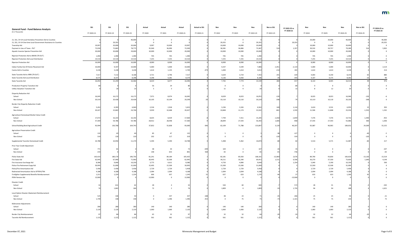| 40,000       |
|--------------|
| $-29,355$    |
| 0<br>5,902   |
| 0            |
| 0            |
| $\mathbf{0}$ |
| 0            |
| 2,114        |
| 214          |
| 880          |
| 96           |
| 976          |
| 0            |
| 0            |
|              |
| -6           |
| 0            |
|              |
| 393          |
| 1,332        |
|              |
| $-453$       |
| $-1,306$     |
| 55,155       |
|              |
| -5           |
| 0            |
| 217          |
|              |
| $-107$       |
| $-65$        |
| 15,519       |
| 4,149        |
| 590          |
| 0<br>0       |
| 0            |
| $-4$         |
| 0            |
|              |
| $-545$       |
| $-1,621$     |
|              |
| $-21$        |
| 75           |
|              |
| 0            |
| 0            |
| 0            |
| O            |
|              |

| <b>General Fund - Fund Balance Analysis</b>                     | <b>SS1</b> | <b>SS1</b> | <b>SS1</b> | Actual  | Actual  | Actual     | <b>Actual vs SS1</b> | Nov     | Nov      | Nov        | Nov vs SS1 | FY 2022-23 vs<br>FY 2020-21 | Nov      | Nov      | Nov        | Nov vs SS1 | FY 2024-25 vs<br>FY 2022-23 |
|-----------------------------------------------------------------|------------|------------|------------|---------|---------|------------|----------------------|---------|----------|------------|------------|-----------------------------|----------|----------|------------|------------|-----------------------------|
| (\$ in Thousands)                                               | FY 2020-21 | FY 2022-23 | FY 2024-25 | FY 2020 | FY 2021 | FY 2020-21 | FY 2020-21           | FY 2022 | FY 2023  | FY 2022-23 | FY 2022-23 |                             | FY 2024  | FY 2025  | FY 2024-25 | FY 2024-25 |                             |
| 21, SS1, CH 14 Local Homeless Prevention Aid to Counties        |            |            | 40,000     |         |         |            |                      |         |          |            |            |                             | 20,000   | 20,000   | 40,000     |            | 40,000                      |
| 21, SS1, CH 14 One-time Local Government Assistance to Counties |            | 29,355     |            |         |         |            |                      | 29,355  |          | 29,355     |            | 29,355                      | - 0      |          |            |            | $-29,355$                   |
| Township Aid                                                    | 19,997     | 20,000     | 20,000     | 9,997   | 10,000  | 19,997     |                      | 10,000  | 10,000   | 20,000     |            |                             | 10,000   | 10,000   | 20,000     |            |                             |
| Payment in Lieu of Taxes - PILT                                 | 72,030     | 72,863     | 78,775     | 35,940  | 36,090  | 72,030     |                      | 36,581  | 36,806   | 73,387     | 524        | 1,357                       | 39,532   | 39,757   | 79,289     |            | 5,902                       |
| Aquatic Invasive Species Prevention Aid                         | 20,000     | 20,000     | 20,000     | 10,000  | 10,000  | 20,000     |                      | 10,000  | 10,000   | 20,000     |            |                             | 10,000   | 10,000   | 20,000     |            |                             |
|                                                                 |            |            |            |         |         |            |                      |         |          |            |            |                             |          |          |            |            |                             |
| Riparian Protection Aid to BWSR (TR OUT)                        | 1,490      | 1,490      | 1,490      | 745     | 745     | 1,490      |                      | 745     | 745      | 1,490      |            |                             | 745      | 745      | 1,490      |            |                             |
| Riparian Protection Aid Local Distribution                      | 14,510     | 14,510     | 14,510     | 7,255   | 7,255   | 14,510     |                      | 7,255   | 7,255    | 14,510     |            |                             | 7,255    | 7,255    | 14,510     |            |                             |
| <b>Riparian Protection Aid</b>                                  | 16,000     | 16,000     | 16,000     | 8,000   | 8,000   | 16,000     |                      | 8,000   | 8,000    | 16,000     |            |                             | 8,000    | 8,000    | 16,000     |            |                             |
| Indian Family Out-Of-Home Placement Aid                         | 10,000     | 9,337      | 10,000     | 5,000   | 5,000   | 10,000     |                      | 4,337   | 3,549    | 7,886      | $-1,451$   | $-2,114$                    | 5,000    | 5,000    | 10,000     |            | 2,114                       |
| Casino Aid to Counties                                          | 3,228      | 3,228      | 3,228      | 1,614   | 1,135   | 2,749      | -47                  | 1,400   | 1,614    | 3,014      | $-214$     | -26                         | 1,614    | 1,614    | 3,228      |            | 214                         |
|                                                                 |            |            |            |         |         |            |                      |         |          |            |            |                             |          |          |            |            |                             |
| State Taconite Aid to IRRR (TR OUT)                             | 7,517      | 7,112      | 8,168      | 3,721   | 3,796   | 7,517      |                      | 3,629   | 3,724    | 7,353      | 241        | $-164$                      | 4,003    | 4,230    | 8,233      |            | 880                         |
| State Taconite Aid Local Distribution                           | 8,575      | 8,147      | 8,298      | 4,298   | 4,281   | 8,579      |                      | 4,136   | 4,050    | 8,186      |            | $-393$                      | 4,107    | 4,175    | 8,282      |            |                             |
| State Taconite Aid                                              | 16,092     | 15,259     | 16,466     | 8,019   | 8,077   | 16,096     |                      | 7,765   | 7,774    | 15,539     | 280        | $-557$                      | 8,110    | 8,405    | 16,515     |            | 976                         |
| Production Property Transition Aid                              |            |            |            | 56      | 24      |            |                      |         |          |            |            |                             |          |          |            |            |                             |
| <b>Utility Valuation Transition Aid</b>                         |            |            |            |         |         |            |                      | 11      |          |            |            |                             |          | 12       |            |            |                             |
| <b>Disparity Reduction Aid</b>                                  |            |            |            |         |         |            |                      |         |          |            |            |                             |          |          |            |            |                             |
| School                                                          | 16,045     | 16,172     | 16,172     | 7,971   | 8,074   | 16,045     |                      | 8,029   | 8,023    | 16,052     | $-120$     |                             | 8,023    | 8,023    | 16,046     |            |                             |
| Non-School                                                      | 20,319     | 20,428     | 20,428     | 10,105  | 10,194  | 20,299     |                      | 10,110  | 10,110   | 20,220     | $-208$     |                             | 10,110   | 10,110   | 20,220     |            |                             |
|                                                                 |            |            |            |         |         |            |                      |         |          |            |            |                             |          |          |            |            |                             |
| Border City Disparity Reduction Credit                          |            |            |            |         |         |            |                      |         |          |            |            |                             |          |          |            |            |                             |
| School                                                          | 5,452      | 6,393      | 6,940      | 2,534   | 2,918   | 5,452      |                      | 3,236   | 3,326    | 6,562      | 169        | 1,110                       | 3,424    | 3,531    | 6,955      |            | 393                         |
| Non-School                                                      | 20,427     | 22,863     | 24,706     | 9,959   | 10,468  | 20,427     |                      | 10,848  | 11,174   | 22,022     | $-841$     | 1,595                       | 11,506   | 11,848   | 23,354     | $-1,352$   | 1,332                       |
| Agricultural Homestead Market Value Credit                      |            |            |            |         |         |            |                      |         |          |            |            |                             |          |          |            |            |                             |
| School                                                          | 17,072     | 16,223     | 16,192     | 8,635   | 8,429   | 17,064     |                      | 7,794   | 7,411    | 15,205     | $-1,018$   | $-1,859$                    | 7,376    | 7,376    | 14,752     | $-1,440$   | $-453$                      |
| Non-School                                                      | 57,369     | 54,786     | 54,786     | 28,912  | 28,448  | 57,360     |                      | 28,849  | 27,543   | 56,392     | 1,606      | $-968$                      | 27,543   | 27,543   | 55,086     | 300        | $-1,306$                    |
| School Building Bond Agricultural Credit                        | 92,994     | 130,768    | 164,743    | 37,852  | 55,838  | 93,690     | 696                  | 62,109  | 71,788   | 133,897    | 3,129      | 40,207                      | 92,087   | 96,965   | 189,052    | 24,309     | 55,155                      |
| <b>Agriculture Preservation Credit</b>                          |            |            |            |         |         |            |                      |         |          |            |            |                             |          |          |            |            |                             |
| School                                                          | 132        |            |            | 85      | 47      | 132        |                      |         |          |            |            | $-127$                      |          |          |            |            |                             |
|                                                                 |            |            |            |         |         |            |                      |         |          |            | $-120$     |                             |          |          |            |            |                             |
| Non-School                                                      | 319        | 120        | 120        | 202     | 117     | 319        |                      |         |          |            |            |                             |          |          |            |            |                             |
| Supplemental Taconite Homestead Credit                          | 10,788     | 10,950     | 11,170     | 5,394   | 5,394   | 10,788     |                      | 5,408   | 5,462    | 10,87      |            |                             | 5,516    | 5,571    | 11,087     |            |                             |
| Prior Year Credit Adjustment                                    |            |            |            |         |         |            |                      |         |          |            |            |                             |          |          |            |            |                             |
| School                                                          | 771        |            |            | 38      | 34      |            | $-69$                | 104     |          |            |            |                             |          |          |            |            | -107                        |
| Non-School                                                      | 233        |            |            | 148     | 653     | 80         | 56                   | 65      |          |            |            | $-736$                      |          |          |            |            | $-65$                       |
|                                                                 |            |            |            |         |         |            |                      |         |          |            |            |                             |          |          |            |            |                             |
| Police State Aid                                                | 165,423    | 180,170    | 196,750    | 81,241  | 84,184  | 165,425    |                      | 82,181  | 85,920   | 168,101    | $-12,069$  | 2,676                       | 89,790   | 93,830   | 183,620    | $-13,130$  | 15,519                      |
| Fire State Aid                                                  | 62,945     | 67,940     | 71,960     | 30,445  | 32,500  | 62,945     |                      | 34,211  | 35,240   | 69,451     | 1,511      | 6,506                       | 36,270   | 37,330   | 73,600     | 1,640      | 4,149                       |
| Fire Insurance Surcharge Aid                                    | 8,386      | 9,640      | 10,230     | 3,775   | 4,611   | 8,386      |                      | 4,750   | 4,890    | 9,640      |            | 1,254                       | 5,040    | 5,190    | 10,230     |            | 590                         |
| Police-Fire Retirement Supp Aid                                 | 30,995     | 31,000     | 31,000     | 15,495  | 15,500  | 30,995     |                      | 15,500  | 15,500   | 31,000     |            |                             | 15,500   | 15,500   | 31,000     |            |                             |
| Police/Fire Amortization Aid                                    | 5,458      | 5,458      | 5,458      | 2,729   | 2,729   | 5,458      |                      | 2,729   | 2,729    | 5,458      |            |                             | 2,729    | 2,729    | 5,458      |            |                             |
| Redirected Amortization Aid to SPTRFA/TRA                       | 4,188      | 4,188      | 4,188      | 2,094   | 2,094   | 4,188      |                      | 2,094   | 2,094    | 4,188      |            |                             | 2,094    | 2,094    | 4,188      |            |                             |
| Firefighter Supplemental Benefits Reimbursement                 | 1,212      | 1,224      | 1,224      | 606     | 637     | 1,243      |                      | 637     | 633      | 1,270      |            |                             | 633      | 633      | 1,266      |            |                             |
| PERA Pension Aid                                                | 13,900     |            |            | 13,900  |         | 13,900     |                      | $\cap$  | $\Omega$ |            |            | $-13,900$                   | $\Omega$ | $\Omega$ |            |            |                             |
| <b>Disaster Credit</b>                                          |            |            |            |         |         |            |                      |         |          |            |            |                             |          |          |            |            |                             |
| School                                                          |            | 611        |            | 28      |         |            |                      | 544     | 60       | 604        |            | 57                          | 28       | 31       |            |            | $-545$                      |
| Non-School                                                      |            | 1,842      | 184        | 72      |         |            |                      | 1,809   |          | 1,809      |            | 1,735                       | 94       | 94       |            |            | $-1,621$                    |
|                                                                 |            |            |            |         |         |            |                      |         |          |            |            |                             |          |          |            |            |                             |
| Local Option Disaster Abatement Reimbursement                   |            |            |            |         |         |            |                      |         |          |            |            |                             |          |          |            |            |                             |
| School                                                          | 525        | <b>106</b> |            |         | 337     | 337        | $-188$               | 48      | 23       |            |            | $-266$                      | 25       | 25       |            |            | $-21$                       |
| Non-School                                                      | 1,749      |            |            |         | 1,396   | 1,396      | $-35$                |         | 75       |            |            | $-1,321$                    | 75       | 75       |            |            |                             |
| Mahnomen Adjustments                                            |            |            |            |         |         |            |                      |         |          |            |            |                             |          |          |            |            |                             |
| School                                                          |            |            |            | 140     | 140     |            |                      | 140     | 140      |            |            |                             | 140      | 140      |            |            |                             |
| Non-School                                                      | 2,120      | 2,120      | 2,120      | 1,060   | 1,060   | 2,120      |                      | 1,060   | 1,060    | 2,120      |            |                             | 1,060    | 1,060    | 2,120      |            |                             |
| <b>Border City Reimbursement</b>                                |            |            |            |         |         |            |                      |         |          |            |            |                             |          |          |            |            |                             |
|                                                                 |            |            |            | 65      | 32      |            |                      | 32      | 32       |            |            |                             | 32       | 32       |            |            |                             |
| Taconite Aid Reimbursement                                      | 1,122      | 1,122      | 1,122      | 561     | 561     | 1,122      |                      | 561     | 561      | 1,122      |            |                             | 561      | 561      | 1,122      |            |                             |

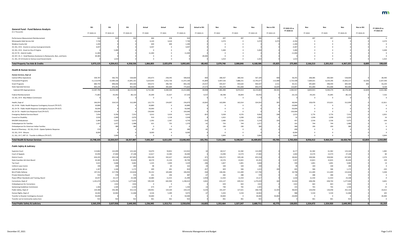

| 198,639  |
|----------|
| $-1,014$ |
| 0        |
| 0        |
| $-5,400$ |
| 0        |
| 0        |
| $-3,374$ |
| O        |

| $-38,440$ |
|-----------|
| 2,107,540 |
| $-56,244$ |
| 9,530     |
| 2,022,386 |
| 7,332     |
| 0         |
| $-12,811$ |
| 0         |
| O         |
| 0         |
| $-2,052$  |
| 16        |
| $-144$    |
| 11        |
| 0         |
| 0         |
| 0         |
| $-3,844$  |
| 2 በ1በ ጸዓ4 |

| <b>General Fund - Fund Balance Analysis</b><br>(\$ in Thousands)          | <b>SS1</b> | SS <sub>1</sub> | <b>SS1</b> | Actual    | Actual    | Actual     | <b>Actual vs SS1</b> | Nov       | Nov       | Nov        | Nov vs SS1 | FY 2022-23 vs<br>FY 2020-21 | Nov       | Nov       | Nov        | Nov vs SS1 | FY 2024-25 vs<br>FY 2022-23 |
|---------------------------------------------------------------------------|------------|-----------------|------------|-----------|-----------|------------|----------------------|-----------|-----------|------------|------------|-----------------------------|-----------|-----------|------------|------------|-----------------------------|
|                                                                           | FY 2020-21 | FY 2022-23      | FY 2024-25 | FY 2020   | FY 2021   | FY 2020-21 | FY 2020-21           | FY 2022   | FY 2023   | FY 2022-23 | FY 2022-23 |                             | FY 2024   | FY 2025   | FY 2024-25 | FY 2024-25 |                             |
| Performance Measurement Reimbursement                                     | 924        | 925             | 93'        | 466       | 458       | 924        |                      | 497       | 497       | 994        |            |                             | 497       | 497       |            |            |                             |
| Minneapolis Debt Service Aid                                              | 7,730      |                 |            | 4,120     | 3,610     | 7,730      |                      | 3,374     |           | 3.37       | 3,374      | $-4,35$                     |           |           |            |            | $-3,374$                    |
| Wadena County Aid                                                         | 1,200      |                 |            | 600       | 600       | 1,200      |                      |           |           |            |            | $-1,200$                    |           |           |            |            |                             |
| 19, SS1, CH 6 - Grants to various local governments                       | 4.447      |                 |            | 4,447     |           | 4,447      |                      |           |           |            |            | $-4,44$                     |           |           |            |            |                             |
| 19, SS1, CH 6 - Grant to City of Virginia                                 |            | 5,400           |            |           |           |            |                      | 5,400     |           | 5.40       |            | 5,400                       |           |           |            |            | $-5,400$                    |
| 20, CH 70 - Aids & Credits                                                | 11,000     |                 |            | 11,000    |           | 11,000     |                      |           |           |            |            | $-11,00$                    |           |           |            |            |                             |
| 20, SS7, Ch. 2 - Small Business Assistance to Restaurants, Bars, and Gyms | 69,485     |                 |            |           |           |            | $-69,48$             |           |           |            |            |                             |           |           |            |            |                             |
| 21, SS1, CH 14 Grants to Various Local Governments                        |            | 1,014           |            |           |           |            |                      | 1,014     |           | 1,014      |            | 1,014                       |           |           |            |            | $-1,014$                    |
| <b>Total Property Tax Aids &amp; Credits</b>                              | 3,973,123  | 4,204,411       | 4,358,536  | 1,866,803 | 2,025,878 | 3,892,681  | $-80,442$            | 2,079,740 | 2,088,846 | 4,168,586  | $-35,825$  | 275,905                     | 2,166,213 | 2,201,012 | 4,367,225  | 8,689      | 198,639                     |
| <b>Health &amp; Human Services</b>                                        |            |                 |            |           |           |            |                      |           |           |            |            |                             |           |           |            |            |                             |
| Human Services, Dept of                                                   |            |                 |            |           |           |            |                      |           |           |            |            |                             |           |           |            |            |                             |
| <b>Central Office Operations</b>                                          | 509,787    | 566,701         | 528,669    | 250,473   | 258,345   | 508,818    | -969                 | 286,567   | 280,542   | 567,109    | 408        | 58,291                      | 268,085   | 260,584   | 528,669    |            | $-38,440$                   |
| <b>Forecasted Programs</b>                                                | 11,113,978 | 13,909,166      | 15,841,161 | 5,619,443 | 5,452,726 | 11,072,169 | $-41,809$            | 5,907,526 | 7,888,151 | 13,795,67  | $-113,489$ | 2,723,508                   | 7,669,021 | 8,234,196 | 15,903,217 | 62,056     | 2,107,540                   |
| <b>Grant Programs</b>                                                     | 880,793    | 898,036         | 843,500    | 459,472   | 396,764   | 856,236    | $-24,557$            | 445,927   | 454,620   | 900,54     | 2,511      | 44,31                       | 445,809   | 398,494   | 844,303    |            | $-56,244$                   |
| <b>State Operated Services</b>                                            | 803,236    | 876,441         | 902,000    | 382,994   | 392,669   | 775,663    | $-27,573$            | 441,470   | 451,000   | 892,470    | 16,029     | 116,807                     | 451,000   | 451,000   | 902,000    |            | 9,530                       |
| <b>Subtotal DHS Appropriations</b>                                        | 13,307,794 | 16,250,344      | 18,115,330 | 6,712,382 | 6,500,504 | 13,212,886 | $-94,908$            | 7,081,490 | 9,074,313 | 16,155,803 | $-94,541$  | 2,942,917                   | 8,833,915 | 9,344,274 | 18,178,189 | 62,859     | 2,022,386                   |
| Federal Reimbursement                                                     | $-71,863$  | $-93,442$       | $-86,11$   | $-35,699$ | $-31,627$ | $-67,326$  | 4,537                | $-46,598$ | $-46,844$ | $-93,442$  |            | $-26,116$                   | $-44,265$ | $-41,845$ | $-86,110$  |            | 7,332                       |
| 19, SS1, CH 9 - Blue Ribbon Commission                                    |            |                 |            |           |           |            |                      |           |           |            |            |                             |           |           |            |            |                             |
| Health, Dept of                                                           | 266,933    | 324,515         | 312,099    | 122,773   | 134,097   | 256,870    | $-10,063$            | 162,896   | 162,014   | 324,910    |            | 68,040                      | 158,478   | 153,621   | 312,099    |            | $-12,811$                   |
| 20, CH 66 - Public Health Response Contingency Account (TR OUT)           | 20,889     |                 |            | 20,889    |           | 20,889     |                      |           |           |            |            | $-20,88$                    |           |           |            |            |                             |
| 20, CH 70 - Public Health Response Contingency Account (TR OUT)           | 50,000     |                 |            | 50,000    |           | 50,000     |                      |           |           |            |            | $-50,000$                   |           |           |            |            |                             |
| 20, CH 70 - Health Care Response Fund (TR OUT)                            | 150,000    |                 |            | 150,000   |           | 150,000    |                      |           |           |            |            | $-150,00$                   |           |           |            |            |                             |
| <b>Emergency Medical Services Board</b>                                   | 7,454      | 9,356           | 7,552      | 3,012     | 3,619     | 6,631      |                      | 5,028     | 4,576     | 9,604      |            | 2,973                       | 3,776     | 3,776     | 7,552      |            | $-2,052$                    |
| Council on Disability                                                     |            | 2,060           | 2,07       | 910       | 1,118     | 2,028      |                      | 1,022     | 1,038     | 2,060      |            |                             | 1,038     | 1,038     | 2,076      |            |                             |
| MH/MR Ombudsman                                                           | 5,069      | 5,023           | 5,072      | 2,392     | 2,367     | 4,759      | -31                  | 2,680     | 2,536     | 5,216      |            |                             | 2,536     | 2,536     | 5,072      |            |                             |
| <b>Ombudsperson for Families</b>                                          | 1,43       | 1,477           | 1,488      | 621       | 755       | 1,376      |                      | 733       | 744       | 1,47       |            |                             | 744       | 744       | 1,488      |            |                             |
| Ombudsperson for American Indian Families                                 |            |                 |            |           |           |            |                      | 190       | 190       |            |            |                             | 190       | 190       |            |            |                             |
| Board of Pharmacy - 19, SS1, Ch 63 - Opiate Epidemic Response             |            |                 |            |           | 202       |            |                      |           |           |            |            |                             |           |           |            |            |                             |
| 19, SS1, CH 9 - Mnsure                                                    | 8.00       |                 |            | 8,000     |           | 8.000      |                      |           |           |            |            | $-8,00$                     |           |           |            |            |                             |
| 21, SS1, CH 7, ART 15 - Transfer to MNsure (TR OUT)                       |            | 3,844           |            |           |           |            |                      | 3,844     |           | 3,84       |            | 3,844                       |           |           |            |            | $-3,844$                    |
| <b>Total Health &amp; Human Services</b>                                  | 13,748,103 | 16,503,557      | 18,357,887 | 7,035,367 | 6,611,035 | 13,646,402 | $-101,701$           | 7,211,285 | 9,198,567 | 16,409,852 | $-93,705$  | 2,763,450                   | 8,956,412 | 9,464,334 | 18,420,746 | 62,859     | 2,010,894                   |
| <b>Public Safety &amp; Judiciary</b>                                      |            |                 |            |           |           |            |                      |           |           |            |            |                             |           |           |            |            |                             |
| Supreme Court                                                             | 113,862    | 122,099         | 123,164    | 54,070    | 59,852    | 113,922    |                      | 60,517    | 61,582    | 122,099    |            | 8,17                        | 61,582    | 61,582    | 123,164    |            | 1,065                       |
| Court of Appeals                                                          | 25,994     | 27,064          | 27,148     | 12,617    | 13,383    | 26,000     |                      | 13,490    | 13,574    | 27,064     |            | 1,064                       | 13,574    | 13,574    | 27,148     |            |                             |
| <b>District Courts</b>                                                    | 626,205    | 655,518         | 657,89     | 294,249   | 332,627   | 626,876    |                      | 326,372   | 329,146   | 655,518    |            | 28,64                       | 328,946   | 328,946   | 657,892    |            | 2,374                       |
| State Guardian Ad Litem Board                                             | 43,385     | 45,391          | 45,630     | 18,570    | 21,224    | 39,794     | $-3,59.$             | 22,576    | 22,815    | 45,391     |            | 5,59                        | 22,815    | 22,815    | 45,630     |            | 239                         |
| Tax Court                                                                 | 3,61!      | 3,668           | 3,682      | 1,325     | 2,004     | 3,329      |                      | 1,827     | 1,841     | 3,668      |            |                             | 1,841     | 1,841     | 3,682      |            |                             |
| Uniform Laws Comm                                                         |            | 200             | 20         | 98        | -64       |            |                      | 100       | 100       |            |            |                             | 100       | 100       | <b>200</b> |            |                             |
| Judicial Stnds, Bd on                                                     | 1,267      | 1,166           | 1,172      | 409       | 401       |            | -45                  | 829       | 586       | 1,41       |            |                             | 586       | 586       | 1,172      |            | -243                        |
| <b>Bd of Public Defense</b>                                               | 197,552    | 217,790         | 222,81     | 93,152    | 103,840   | 196,992    |                      | 106,381   | 111,409   | 217,790    |            | 20,79                       | 111,409   | 111,409   | 222,818    |            | 5,028                       |
| Private Detective Board                                                   | 554        | 570             | 576        | 241       | 246       | 487        |                      | 282       | 288       | 570        |            |                             | 288       | 288       | 576        |            |                             |
| Peace Officer Standards and Training, Board                               | 24,457     | 23,11           | 23,10      | 10,084    | 11,415    | 21,499     | $-2,958$             | 11,563    | 11,554    | 23,11      |            | 1,61                        | 11,554    | 11,554    | 23,108     |            |                             |
| Corrections, Dept of                                                      | 1,241,474  | 1,270,256       | 1,277,040  | 595,509   | 642,904   | 1,238,413  | $-3,061$             | 631,127   | 639,312   | 1,270,439  |            | 32,02                       | 638,296   | 638,744   | 1,277,040  |            | 6,601                       |
| <b>Ombudsperson for Corrections</b>                                       |            | 1322            | 132        |           |           |            |                      | 659       | 663       | 132        |            | 132                         | 663       | 663       | 1326       |            |                             |
| Sentencing Guidelines Commission                                          | 1,366      | 1,505           | 1,530      | 673       | 677       | 1,350      |                      | 740       | 765       | 1,505      |            | 15.                         | 765       | 765       | 1,530      |            |                             |
| Public Safety, Dept of                                                    | 224,368    | 256,385         | 252,11     | 100,961   | 119,164   | 220,125    | $-4,243$             | 141,107   | 127,621   | 268,728    | 12,343     | 48,60                       | 126,058   | 126,058   | 252,116    |            | $-16,612$                   |
| Human Rights, Dept of                                                     | 10,042     | 10,963          | 11,068     | 4,526     | 5,449     | 9,97       |                      | 5,433     | 5,530     | 10,96      |            | -98                         | 5,534     | 5,534     | 11,068     |            | 105                         |
| Transfer to Disaster Contingency Account                                  | 50,000     |                 |            | 50,000    |           | 50,000     |                      | 30,000    |           | 30,000     | 30,000     | $-20,00$                    |           |           |            |            | $-30,000$                   |
| Transfer out to Community Justice Acct.                                   |            |                 |            | 461       | 461       | 922        |                      | 461       | 461       | 92         |            |                             | 461       | 461       |            |            |                             |
| <b>Total Public Safety &amp; Judiciary</b>                                | 2,565,259  | 2,637,936       | 2,649,392  | 1,236,945 | 1,313,711 | 2,550,656  | $-14,603$            | 1,353,464 | 1,327,247 | 2,680,711  | 42,775     | 130,055                     | 1,324,472 | 1,324,920 | 2,649,392  |            | $-31,319$                   |

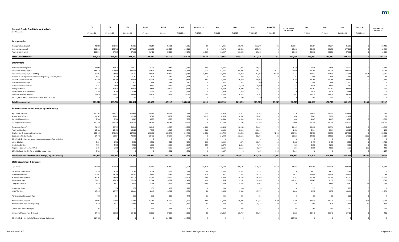| <b>General Fund - Fund Balance Analysis</b><br>(\$ in Thousands) | <b>SS1</b><br>FY 2020-21 | <b>SS1</b><br>FY 2022-23 | SS1<br>FY 2024-25 | <b>Actual</b><br>FY 2020 | Actual<br>FY 2021 | Actual<br>FY 2020-21 | <b>Actual vs SS1</b><br>FY 2020-21 | Nov<br>FY 2022 | Nov<br>FY 2023 | <b>Nov</b><br>FY 2022-23 | Nov vs SS1<br>FY 2022-23 | FY 2022-23 vs<br>FY 2020-21 | Nov<br>FY 2024 | Nov<br>FY 2025 | Nov<br>FY 2024-25 | Nov vs SS1<br>FY 2024-25 | FY 2024-25 vs<br>FY 2022-23 |
|------------------------------------------------------------------|--------------------------|--------------------------|-------------------|--------------------------|-------------------|----------------------|------------------------------------|----------------|----------------|--------------------------|--------------------------|-----------------------------|----------------|----------------|-------------------|--------------------------|-----------------------------|
|                                                                  |                          |                          |                   |                          |                   |                      |                                    |                |                |                          |                          |                             |                |                |                   |                          |                             |
| <b>Transportation</b>                                            |                          |                          |                   |                          |                   |                      |                                    |                |                |                          |                          |                             |                |                |                   |                          |                             |
| Transportation, Dept of                                          | 41,885                   | 173,117                  | 46,568            | 20,214                   | 21,701            | 41,915               |                                    | 144,205        | 29,784         | 173,989                  | 872                      | 132,074                     | 23,284         | 23,284         | 46,568            |                          | $-127,421$                  |
| Metropolitan Council                                             | 216,010                  | 235,700                  | 177,260           | 113,190                  | 102,820           | 216,010              |                                    | 147,070        | 88,630         | 235,700                  |                          | 19,690                      | 88,630         | 88,630         | 177,260           |                          | $-58,440$                   |
| Public Safety, Dept of                                           | 100,514                  | 67,535                   | 47,632            | 41,416                   | 46,229            | 87,645               | $-12,869$                          | 36,227         | 31,308         | 67,535                   |                          | $-20,110$                   | 23,816         | 23,816         | 47,632            |                          | $-19,903$                   |
| <b>Total Transportation</b>                                      | 358,409                  | 476,352                  | 271,460           | 174,820                  | 170,750           | 345,570              | $-12,839$                          | 327,502        | 149,722        | 477,224                  | 872                      | 131,654                     | 135,730        | 135,730        | 271,460           |                          | $-205,764$                  |
|                                                                  |                          |                          |                   |                          |                   |                      |                                    |                |                |                          |                          |                             |                |                |                   |                          |                             |
| Environment                                                      |                          |                          |                   |                          |                   |                      |                                    |                |                |                          |                          |                             |                |                |                   |                          |                             |
| <b>Pollution Control Agency</b>                                  | 14,098                   | 15,624                   | 13,072            | 6,729                    | 7,187             | 13,916               | $-182$                             | 8,376          | 7,285          | 15,661                   |                          | 1,745                       | 6,536          | 6,536          | 13,072            |                          | $-2,589$                    |
| Natural Resources, Dept of                                       | 185,318                  | 204,995                  | 190,406           | 85,829                   | 99,789            | 191,577              | 1,011                              | 107,415        | 100,703        | 208,118                  | 3,123                    | 22,500                      | 95,203         | 95,203         | 190,406           |                          | $-19,049$                   |
| Natural Resources, Dept of (OPENS)                               | 55,392                   | 54,681                   | 53,747            | 27,481                   | 33,159            | 60,640               | 5,248                              | 35,724         | 31,360         | 67,084                   | 12,403                   | 6,444                       | 31,037         | 30,804         | 61,841            | 8,094                    | $-3,906$                    |
| Transfer to Mining and Environmental Regulatory Account (OPEN)   | 1,822                    | 1,746                    | 1,792             | 873                      | 949               | 1,822                |                                    | 886            | 879            | 1,765                    |                          | -57                         | 888            | 955            | 1,843             |                          | -78                         |
| Water & Soil Resources Bd                                        | 30,25                    | 34,785                   | 30,536            | 21,096                   | 8,728             | 29,824               | -43                                | 18,292         | 16,740         | 35,032                   |                          | 5,208                       | 15,268         | 15,268         | 30,536            |                          | $-4,496$                    |
| <b>MN Conservation Corps</b>                                     |                          | 91                       | 910               | 455                      | 455               | 910                  |                                    | 455            | 455            | 91                       |                          |                             | 455            | 455            | 91(               |                          |                             |
| Metropolitan Council Parks                                       | 5,222                    | 5,080                    | 5,080             | 2,540                    | 2,682             | 5,222                |                                    | 2,540          | 2,540          | 5,080                    |                          | $-14$                       | 2,540          | 2,540          | 5,080             |                          |                             |
| <b>Zoological Board</b>                                          | 19,47                    | 19,618                   | 20,534            | 9,665                    | 9,809             | 19,474               |                                    | 9,809          | 9,809          | 19,61                    |                          |                             | 10,267         | 10,267         | 20,534            |                          |                             |
| Science Museum of Minnesota                                      | 2,158                    | 2,158                    | 2,158             | 1,079                    | 1,079             | 2,158                |                                    | 1,079          | 1,079          | 2,158                    |                          |                             | 1,079          | 1,079          | 2,158             |                          |                             |
| Explore Minnesota Tourism                                        | 29,07                    | 29,957                   | 29,046            | 10,675                   | 18,375            | 29,050               |                                    | 15,434         | 14,523         | 29,95                    |                          |                             | 14,523         | 14,523         | 29,046            |                          | $-911$                      |
| 21, SS1, CH 6 - MLCAT Repayment to REM-MLC (TR OUT)              |                          | 200                      | 200               |                          |                   |                      |                                    | 100            | 100            | 200                      |                          |                             | 100            | 100            | 200               |                          |                             |
| <b>Total Environment</b>                                         | 343,016                  | 369,754                  | 347,481           | 166,422                  | 182,212           | 348,634              | 5,618                              | 200,110        | 185,473        | 385,583                  | 15,829                   | 36,749                      | 177,896        | 177,730        | 355,626           | 8,145                    | $-29,957$                   |
|                                                                  |                          |                          |                   |                          |                   |                      |                                    |                |                |                          |                          |                             |                |                |                   |                          |                             |
| <b>Economic Development, Energy, Ag and Housing</b>              |                          |                          |                   |                          |                   |                      |                                    |                |                |                          |                          |                             |                |                |                   |                          |                             |
| Agriculture, Dept of                                             | 110,542                  | 117,915                  | 118,484           | 56,247                   | 55,972            | 112,219              | 1,677                              | 58,918         | 59,011         | 117,929                  |                          | 5,710                       | 58,492         | 59,992         | 118,484           |                          | 555                         |
| Animal Health Board                                              | 11,505                   | 12,061                   | 12,162            | 5,541                    | 5,752             | 11,293               | $-212$                             | 6,016          | 6,081          | 12,097                   |                          | 804                         | 6,081          | 6,081          | 12,162            |                          |                             |
| Agric Util Research Inst                                         | 7,786                    | 8,586                    | 8,086             | 3,893                    | 3,893             | 7,786                |                                    | 4,543          | 4,043          | 8,586                    |                          | 800                         | 4,043          | 4,043          | 8,086             |                          | $-500$                      |
| Housing Finance (TR OUT)                                         | 120,596                  | 125,596                  | 115,596           | 64,048                   | 56,548            | 120,596              |                                    | 67,798         | 57,798         | 125,596                  |                          | 5,000                       | 57,798         | 57,798         | 115,596           |                          | $-10,000$                   |
|                                                                  |                          |                          |                   |                          |                   |                      |                                    |                |                |                          |                          |                             |                |                |                   |                          |                             |
| Commerce, Dept of                                                | 51,32                    | 70,799                   | 60,24             | 23,048                   | 23,880            | 46,928               | $-4,399$                           | 40,805         | 30,266         | 71,071                   | 272                      | 24,143                      | 30,692         | 29,554         | 60,246            |                          | $-10,825$                   |
| <b>Public Utilities Comm</b>                                     | 15,586                   | 16,499                   | 16,628            | 7,363                    | 8,010             | 15,373               | $-213$                             | 8,185          | 8,314          | 16,499                   |                          | 1,126                       | 8,314          | 8,314          | 16,628            |                          | 129                         |
| Employment & Economic Development                                | 253,11                   | 345,691                  | 187,506           | 123,150                  | 106,346           | 229,496              | $-23,621$                          | 296,742        | 91,455         | 388,19                   | 42,506                   | 158,70                      | 93,753         | 93,753         | 187,506           |                          | $-200,691$                  |
| <b>Destination Medical Center</b>                                | 34,470                   | 58,954                   | 73,955            | 13,493                   | 20,977            | 34,470               |                                    | 24,940         | 33,151         | 58,091                   | -863                     | 23,621                      | 34,500         | 34,500         | 69,000            | $-4,95!$                 | 10,909                      |
| 20, SS7, Ch. 2 - Unemployment Insurance Contingent Appropriation |                          |                          |                   |                          |                   |                      |                                    |                |                |                          |                          |                             |                |                |                   |                          |                             |
| Labor & Industry                                                 | 8,034                    | 9,758                    | 6,958             | 2,581                    | 4,508             | 7,089                | $-94!$                             | 6,332          | 4,379          | 10,71                    |                          | 3,622                       | 3,479          | 3,479          | 6,958             |                          | $-3,753$                    |
| <b>Mediation Services</b>                                        | 4,504                    | 4,785                    | 4,580             | 1,768                    | 2,396             | 4,164                |                                    | 2,370          | 2,415          | 4,785                    |                          |                             | 2,290          | 2,290          | 4,580             |                          | $-205$                      |
| Region 3 - Occupation Tax (OPEN)                                 | 5,504                    | 5,168                    | 5,625             | 2,848                    | 2,659             | 5,507                |                                    | 2,636          | 2,664          | 5,300                    | 132                      | $-20$                       | 2,865          | 2,865          | 5,730             |                          | 430                         |
| 16A.152, Subd. 2a. (6) - Tr. to MN 21st century fund             | 9,781                    |                          |                   |                          | 9,781             | 9,781                |                                    | 4,167          |                | 4,16                     | 4,167                    | $-5,614$                    | - 0            |                |                   |                          | $-4,167$                    |
| <b>Total Economic Development, Energy, Ag and Housing</b>        | 632,752                  | 775,812                  | 609,826           | 303,980                  | 300,722           | 604,702              | $-28,050$                          | 523,452        | 299,577        | 823,029                  | 47,217                   | 218,327                     | 302,307        | 302,669        | 604,976           | $-4,850$                 | $-218,053$                  |
| <b>State Government &amp; Veterans</b>                           |                          |                          |                   |                          |                   |                      |                                    |                |                |                          |                          |                             |                |                |                   |                          |                             |
| Legislature                                                      | 210,85                   | 199,549                  | 200,81            | 91,042                   | 94,460            | 185,50               | $-25,354$                          | 126,183        | 100,502        | 226,685                  | 27,136                   | 41,183                      | 100,380        | 100,431        | 200,81            |                          | $-25,874$                   |
| Governor/Lt Gov Office                                           | 7,244                    | 7,244                    | 7,244             | 3,296                    | 3,922             | 7,218                |                                    | 3,622          | 3,622          | 7,244                    |                          |                             | 3,622          | 3,622          | 7,244             |                          |                             |
| <b>State Auditor Office</b>                                      | 20,941                   | 24,104                   | 24,192            | 8,481                    | 8,946             | 17,427               | $-3,514$                           | 12,021         | 12,083         | 24,104                   |                          | 6,677                       | 12,096         | 12,096         | 24,192            |                          |                             |
| Attorney General Office                                          | 46,341                   | 54,886                   | 52,376            | 22,047                   | 24,256            | 46,303               |                                    | 28,698         | 26,188         | 54,886                   |                          | 8,583                       | 26,188         | 26,188         | 52,376            |                          | $-2,510$                    |
| Secretary of State                                               | 31,43                    | 18,836                   | 27,994            | 22,544                   | 8,877             | 31,421               |                                    | 9,684          | 9,152          | 18,836                   |                          | $-12,585$                   | 18,842         | 9,152          | 27,994            |                          | $-532$                      |
| Campaign Finance                                                 | 4,91                     | 4,917                    | 4,939             | 1,168                    | 3,616             | 4.784                |                                    | 1,249          | 3,765          | 5,014                    |                          | -230                        | 1,271          | 3,689          | 4,960             |                          | -54                         |
|                                                                  |                          |                          |                   |                          |                   |                      |                                    |                |                |                          |                          |                             |                |                |                   |                          |                             |
| Investment Board                                                 |                          | 278                      | 278               | 139                      | 139               | 278                  |                                    | 139            | 139            | 278                      |                          |                             | 139            | 139            | 278               |                          |                             |
| <b>MN-IT Services</b>                                            | 15,01                    | 19,737                   | 18,464            | 4,449                    | 10,622            | 15,07                |                                    | 9,855          | 9,882          | 19,73                    |                          | 4,66                        | 9,232          | 9,232          | 18,464            |                          | $-1,273$                    |
| Administrative Hearings Office                                   |                          | 814                      | 818               | 376                      | 398               | 77/                  |                                    | 405            | 409            | 814                      |                          |                             | 409            | 409            |                   |                          |                             |
| Administration, Dept of                                          | 51,092                   | 55,691                   | 56,166            | 25,716                   | 25,776            | 51,391               | 273                                | 27,377         | 29,904         | 57,281                   | 1,590                    | 5,789                       | 27,549         | 27,729         | 55,278            |                          | $-2,003$                    |
| Administration Dept, WCRA (OPEN)                                 | 1,34                     | 1,472                    | 1,594             | 661                      | 710               | 1,371                |                                    | 747            | 785            | 1,53                     |                          |                             | 809            | 825            | 1,634             |                          |                             |
|                                                                  |                          |                          |                   |                          |                   |                      |                                    |                |                |                          |                          |                             |                |                |                   |                          |                             |
| Capitol Area Arch Planning Bd                                    |                          | 751                      | 730               | 351                      | 351               |                      |                                    | 386            | 365            | 751                      |                          |                             | 365            | 365            | 730               |                          | -21                         |
| Minnesota Management & Budget                                    | 54,011                   | 59,059                   | 59,480            | 26,806                   | 27,233            | 54,039               |                                    | 29,319         | 29,740         | 59,059                   |                          | 5,020                       | 29,740         | 29,740         | 59,480            |                          | 421                         |
| 20, SS7, Ch. 2 - County Relief Grants to Local Businesses        | 114,728                  |                          |                   |                          | 114,728           | 114,728              |                                    | $\Omega$       |                |                          |                          | $-114,728$                  | $\overline{0}$ |                |                   |                          |                             |

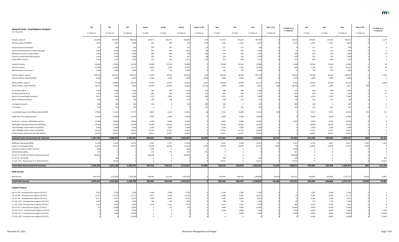| <b>General Fund - Fund Balance Analysis</b><br>(\$ in Thousands)                                 | <b>SS1</b> | SS1        | <b>SS1</b> | Actual    | Actual    | Actual     | <b>Actual vs SS1</b> | Nov       | Nov        | Nov        | Nov vs SS1 | FY 2022-23 vs<br>FY 2020-21 | Nov       | Nov       | Nov             | Nov vs SS1 | FY 2024-25 vs<br>FY 2022-23 |
|--------------------------------------------------------------------------------------------------|------------|------------|------------|-----------|-----------|------------|----------------------|-----------|------------|------------|------------|-----------------------------|-----------|-----------|-----------------|------------|-----------------------------|
|                                                                                                  | FY 2020-21 | FY 2022-23 | FY 2024-25 | FY 2020   | FY 2021   | FY 2020-21 | FY 2020-21           | FY 2022   | FY 2023    | FY 2022-23 | FY 2022-23 |                             | FY 2024   | FY 2025   | FY 2024-25      | FY 2024-25 |                             |
| Revenue, Dept of                                                                                 | 321,093    | 347,044    | 348,214    | 160,677   | 160,732   | 320,285    | $-279$               | 173,437   | 173,607    | 347,044    |            | 25,635                      | 174,607   | 173,607   | 348,21          |            | 1,170                       |
| Revenue, Dept of (OPENS)                                                                         | 1,455      | 2,050      | 2,050      | 430       | 496       | 926        | -529                 | 1,025     | 1,025      | 2,050      |            | 1,124                       | 1,025     | 1,025     | 2,050           |            |                             |
| <b>Amateur Sports Commission</b>                                                                 | -64        | 628        | 634        | 290       | 347       | 63,        |                      | 311       | 317        | 628        |            |                             | 317       | 317       | 63              |            |                             |
| Council for Minnesotans of African Heritage                                                      | 1,063      | 1,096      | 1,104      | 439       | 586       | 1,025      |                      | 544       | 552        | 1,096      |            |                             | 552       | 552       | 1,104           |            |                             |
| Minnesota Council on Latino Affairs                                                              | 1,044      | 1,078      | 1,088      | 389       | 489       |            |                      | 534       | 544        | 1,078      |            | 200                         | 544       | 544       | 1,088           |            |                             |
| Council on Asian-Pacific Minnesotans                                                             | 1,025      | 1,059      | 1,068      | 487       | 470       | 95         |                      | 525       | 534        | 1,059      |            | 102                         | 534       | 534       | 1,068           |            |                             |
| Indian Affairs Council                                                                           | 1,699      | 1,719      | 1,728      | 565       | 607       | 1,172      | $-527$               | 855       | 864        | 1,719      |            | 547                         | 864       | 864       | 1,728           |            |                             |
|                                                                                                  |            |            |            |           |           |            |                      |           |            |            |            |                             |           |           |                 |            |                             |
| <b>Historical Society</b>                                                                        | 46,486     | 47,886     | 47,836     | 22,968    | 23,518    | 46,486     |                      | 23,968    | 23,918     | 47,886     |            | 1,400                       | 23,918    | 23,918    | 47,836          |            |                             |
| State Arts Board                                                                                 | 15,696     | 15,082     | 15,122     | 8,059     | 7,646     | 15,705     |                      | 7,541     | 7,541      | 15,082     |            | $-623$                      | 7,561     | 7,561     | 15,122          |            |                             |
| <b>MN Humanities Commission</b>                                                                  | 1,400      | 1,400      | 1,400      | 670       | 730       | 1,400      |                      | 700       | 700        | 1,400      |            |                             | 700       | 700       | 1,400           |            |                             |
| Veterans Affairs, Dept of                                                                        | 156,743    | 182,716    | 180,372    | 77,340    | 78,561    | 153,929    | $-814$               | 89,530    | 93,186     | 182,716    |            | 26,815                      | 90,186    | 90,186    | 180,372         |            | $-2,344$                    |
| Veterans Affairs, Dept of (OPEN)                                                                 | 6,028      | 6,000      | 6,000      | 3,028     | 1,000     | 4,028      | $-2,000$             | 3,000     | 3,000      | 6,000      |            | 1,972                       | 3,000     | 3,000     | 6,000           |            |                             |
| Military Affairs, Dept of                                                                        | 73,740     | 48,982     | 49,178     | 21,359    | 23,073    | 82,518     | $-4,957$             | 28,638    | 24,589     | 53,227     | 4,245      | 8,795                       | 24,589    | 24,589    | 49,17           |            | $-4,049$                    |
| Military Affairs, Dept of (OPEN)                                                                 | 28,771     | 4,420      | 4,420      | 12,443    | 30,063    | 42,506     | 13,73                | 2,006     | 2,006      | 4,012      |            | $-38,494$                   | 2,006     | 2,006     | 4,012           |            |                             |
|                                                                                                  |            |            |            |           |           |            |                      |           |            |            |            |                             |           |           |                 |            |                             |
| Accountancy, Bd of                                                                               | 1,369      | 1,386      | 1,396      | 584       | 650       | 1,234      | $-13$                | 688       | 698        | 1,386      |            | 152                         | 698       | 698       | 1,396           |            |                             |
| Architectural/Eng, Bd of                                                                         | 1,706      | 1,737      | 1,748      | 685       | 709       | 1,394      | $-312$               | 863       | 874        | 1,737      |            | 343                         | 874       | 874       | 1,748           |            |                             |
| <b>Board of Cosmetologist Examiners</b>                                                          | 5,827      | 5,846      | 5,846      | 2,752     | 2,606     | 5,358      | -46                  | 2,923     | 2,923      | 5,846      |            | 488                         | 2,923     | 2,923     | 5,846           |            |                             |
| <b>Board of Barber Examiners</b>                                                                 |            | 701        | 706        | 284       | 328       | 61         |                      | 348       | 353        | 701        |            |                             | 353       | 353       | 70 <sub>6</sub> |            |                             |
| <b>Contingent Accounts</b>                                                                       |            | 500        | 500        | $100\,$   |           |            | -40                  | 500       |            | 500        |            | 400                         | 500       |           | 50              |            |                             |
| <b>Tort Claims</b>                                                                               |            |            |            |           |           |            | $-32.$               | 161       | 161        | 322        |            | 322                         | 161       | 161       |                 |            |                             |
| Consolidated Leg & Const Officers Retire (OPEN)                                                  | 17,545     | 17,764     | 17,773     | 8,850     | 8,761     | 17,611     |                      | 8,721     | 8,895      | 17,616     |            |                             | 9,073     | 9,255     | 18,328          |            | 712                         |
| Judges Plan Direct Appropriation                                                                 | 12,000     | 12,000     | 12,000     | 6,000     | 6,000     | 12,000     |                      | 6,000     | 6,000      | 12,000     |            |                             | 6,000     | 6,000     | 12,000          |            |                             |
|                                                                                                  |            |            |            |           |           |            |                      |           |            |            |            |                             |           |           |                 |            |                             |
| 18, CH 211 - Pension, PERA Police and Fire                                                       | 13,500     | 18,000     | 18,000     | 4,500     | 9,000     | 13,500     |                      | 9,000     | 9,000      | 18,000     |            | 4,500                       | 9,000     | 9,000     | 18,000          |            |                             |
| PERA/Mpls Employee Retirement Aid (OPEN)                                                         | 32,000     | 32,000     | 32,000     | 16,000    | 16,000    | 32,000     |                      | 16,000    | 16,000     | 32,000     |            |                             | 16,000    | 16,000    | 32,000          |            |                             |
| 1993 TRA/Mpls Teacher Retire Aid (OPEN)                                                          | 5,000      | 5,000      | 5,000      | 2,500     | 2,500     | 5,000      |                      | 2,500     | 2,500      | 5,000      |            |                             | 2,500     | 2,500     | 5.000           |            |                             |
| 1997 TRA/Mpls Teacher Retire Aid (OPEN)                                                          | 54,662     | 54,662     | 54,662     | 27,331    | 27,331    | 54,662     |                      | 27,331    | 27,331     | 54,662     |            |                             | 27,331    | 27,331    | 54,662          |            |                             |
| St Paul Teacher Retirement Aid 1997 (OPEN)                                                       | 29,654     | 29,654     | 29,654     | 14,827    | 14,827    | 29,654     |                      | 14,827    | 14,827     | 29,654     |            |                             | 14,827    | 14,827    | 29,654          |            |                             |
| <b>Subtotal State Government &amp; Veterans</b>                                                  | 1,367,702  | 1,288,070  | 1,294,907  | 600,633   | 741,064   | 1,341,697  | $-26,005$            | 672,161   | 648,481    | 1,320,642  | 32,572     | $-21,055$                   | 651,285   | 642,942   | 1,294,227       | $-680$     | $-36,105$                   |
| MMB Non-Operating (OPEN)                                                                         | 11,054     | 11,522     | 11,522     | 5,293     | 5,761     | 11,054     |                      | 6,012     | 6,289      | 12,301     | 77         | 1,247                       | 6,570     | 6,857     | 13,427          | 1,905      | 1,126                       |
| Indirect Cost Receipts Offset                                                                    | $-41,915$  | $-45,674$  | $-45,674$  | $-19,078$ | $-28,546$ | $-47,624$  | $-5,709$             | $-23,850$ | $-23,850$  | $-47,700$  | $-2,02$    | -76                         | $-23,850$ | $-23,850$ | $-47,700$       | $-2,026$   |                             |
| One time Transfer to HCAF (TR OUT)                                                               | 7,200      |            |            | 7,200     |           | 7,200      |                      |           |            |            |            | $-7,200$                    |           |           |                 |            |                             |
| <b>CMA Interest Liability</b>                                                                    |            |            |            | 214       | 253       |            |                      |           |            |            |            | -46                         |           |           |                 |            |                             |
| 20, CH 71, Transfer to COVID-19 Minnesota Fund                                                   | 200,000    |            |            | 200,000   |           | 200,000    |                      |           |            |            |            | $-200,000$                  |           |           |                 |            |                             |
| 21, CH 26 - Claims Bill                                                                          |            |            |            |           |           |            |                      | 109       |            |            |            | 10 <sup>c</sup>             |           |           |                 |            |                             |
| 21, SS1, CH2 - Reinsurrance Tr to HCAF (TR OUT)                                                  |            | 79,101     |            |           |           |            |                      | 79,101    |            | 79,101     |            | 79,10                       |           |           |                 |            | $-79,101$                   |
| <b>Total State Government &amp; Veterans</b>                                                     | 1,545,208  | 1,333,128  | 1,260,755  | 794,715   | 718,612   | 1,513,327  | $-31,881$            | 733,533   | 630,920    | 1,364,453  | 31,325     | $-148,874$                  | 634,005   | 625,949   | 1,259,954       | $-801$     | $-114,189$                  |
| <b>Debt Service</b>                                                                              |            |            |            |           |           |            |                      |           |            |            |            |                             |           |           |                 |            |                             |
| Debt Service                                                                                     | 1,055,625  | 1,242,865  | 1,258,780  | 540,081   | 515,544   | 1,055,625  |                      | 592,426   | 606,410    | 1,198,836  | $-44,025$  | 143,21                      | 635,859   | 636,864   | 1,272,723       | 13,943     | 73,887                      |
| <b>Total Debt Service</b>                                                                        | 1,055,625  | 1,242,865  | 1,258,780  | 540,081   | 515,544   | 1,055,625  |                      | 592,426   | 606,410    | 1,198,836  | $-44,029$  | 143,211                     | 635,859   | 636,864   | 1,272,723       | 13,943     | 73,887                      |
| <b>Capital Projects</b>                                                                          |            |            |            |           |           |            |                      |           |            |            |            |                             |           |           |                 |            |                             |
| 08, CH 179 - Housing Finance Agency (TR OUT)                                                     | 4,793      | 4,794      | 4,793      | 2,394     | 2,399     | 4,793      |                      | 2,395     | 2,399      | 4,794      |            |                             | 2,397     | 2,396     | 4,79            |            |                             |
| 14, CH 295 - Housing Finance Agency (TR OUT)                                                     | 12,751     | 12,767     | 12,771     | 6,371     | 6,380     | 12,751     |                      | 6,386     | 6,381      | 12,767     |            |                             | 6,387     | 6,384     | 12,77           |            |                             |
|                                                                                                  | 4,071      | 4,077      | 4,077      | 2,036     | 2,035     | 4,071      |                      | 2,040     | 2,037      | 4,077      |            |                             | 2,038     | 2,039     | 4,07            |            |                             |
| 12, CH 293 - Housing Finance Agency (TR OUT)<br>15, SS1, CH 5 - Housing Finance Agency (TR OUT)  | 1,592      | 1,582      | 1,584      | 794       | 798       | 1,592      |                      | 789       | 793        | 1,582      |            |                             | 791       | 793       | 1,584           |            |                             |
| 17, SS1, CH 8 - Housing Finance Agency (TR OUT)                                                  | 5,133      | 4,670      | 4,664      | 2,797     | 2,337     | 5,134      |                      | 2,337     | 2,333      | 4,670      |            |                             | 2,332     | 2,332     | 4,66            |            |                             |
|                                                                                                  |            | 12.800     | 12.800     |           | 737       |            |                      | 6,400     | 6,400      | 12.800     |            | 12.063                      | 6,400     | 6,400     | 12.800          |            |                             |
| 18, CH 214 - Housing Finance Agency (TR OUT)<br>19, SS1, CH 13 - Housing Finance Agency (TR OUT) |            | 7,200      | 9,600      |           |           |            |                      | 2,400     | 4,800      | 7,200      |            | 7,200                       | 4,800     | 4,800     | 9,600           |            | 2,400                       |
| 20, SS5, CH 3 - Housing Finance Agency (TR OUT)                                                  |            | 4,000      | 16,000     |           |           |            |                      |           | 4,000      | 4,000      |            | 4,000                       | 8,000     | 8,000     | 16,000          |            | 12,000                      |
| 21, SS1, CH 8 - Housing Finance Agency (TR OUT)                                                  |            |            | 12,000     |           |           |            |                      |           | $\sqrt{ }$ |            |            |                             | 4,000     | 8,000     | 12,000          |            | 12,000                      |
|                                                                                                  |            |            |            |           |           |            |                      |           |            |            |            |                             |           |           |                 |            |                             |